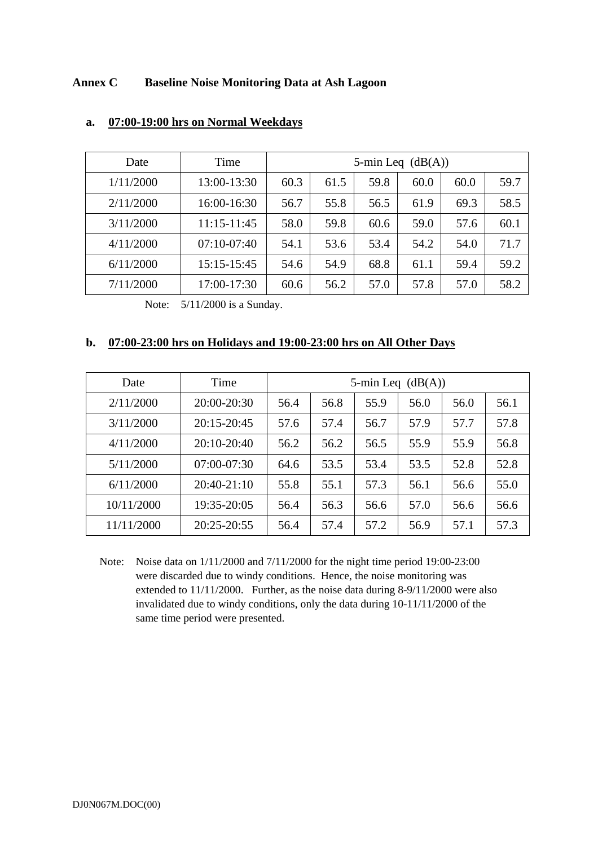## **Annex C Baseline Noise Monitoring Data at Ash Lagoon**

| Date      | Time            | 5-min Leq $(dB(A))$ |      |      |      |      |      |
|-----------|-----------------|---------------------|------|------|------|------|------|
| 1/11/2000 | 13:00-13:30     | 60.3                | 61.5 | 59.8 | 60.0 | 60.0 | 59.7 |
| 2/11/2000 | 16:00-16:30     | 56.7                | 55.8 | 56.5 | 61.9 | 69.3 | 58.5 |
| 3/11/2000 | $11:15 - 11:45$ | 58.0                | 59.8 | 60.6 | 59.0 | 57.6 | 60.1 |
| 4/11/2000 | $07:10-07:40$   | 54.1                | 53.6 | 53.4 | 54.2 | 54.0 | 71.7 |
| 6/11/2000 | 15:15-15:45     | 54.6                | 54.9 | 68.8 | 61.1 | 59.4 | 59.2 |
| 7/11/2000 | 17:00-17:30     | 60.6                | 56.2 | 57.0 | 57.8 | 57.0 | 58.2 |

## **a. 07:00-19:00 hrs on Normal Weekdays**

Note: 5/11/2000 is a Sunday.

## **b. 07:00-23:00 hrs on Holidays and 19:00-23:00 hrs on All Other Days**

| Date       | Time            | 5-min Leq $(dB(A))$ |      |      |      |      |      |
|------------|-----------------|---------------------|------|------|------|------|------|
| 2/11/2000  | 20:00-20:30     | 56.4                | 56.8 | 55.9 | 56.0 | 56.0 | 56.1 |
| 3/11/2000  | 20:15-20:45     | 57.6                | 57.4 | 56.7 | 57.9 | 57.7 | 57.8 |
| 4/11/2000  | $20:10-20:40$   | 56.2                | 56.2 | 56.5 | 55.9 | 55.9 | 56.8 |
| 5/11/2000  | $07:00-07:30$   | 64.6                | 53.5 | 53.4 | 53.5 | 52.8 | 52.8 |
| 6/11/2000  | $20:40-21:10$   | 55.8                | 55.1 | 57.3 | 56.1 | 56.6 | 55.0 |
| 10/11/2000 | 19:35-20:05     | 56.4                | 56.3 | 56.6 | 57.0 | 56.6 | 56.6 |
| 11/11/2000 | $20:25 - 20:55$ | 56.4                | 57.4 | 57.2 | 56.9 | 57.1 | 57.3 |

Note: Noise data on 1/11/2000 and 7/11/2000 for the night time period 19:00-23:00 were discarded due to windy conditions. Hence, the noise monitoring was extended to 11/11/2000. Further, as the noise data during 8-9/11/2000 were also invalidated due to windy conditions, only the data during 10-11/11/2000 of the same time period were presented.